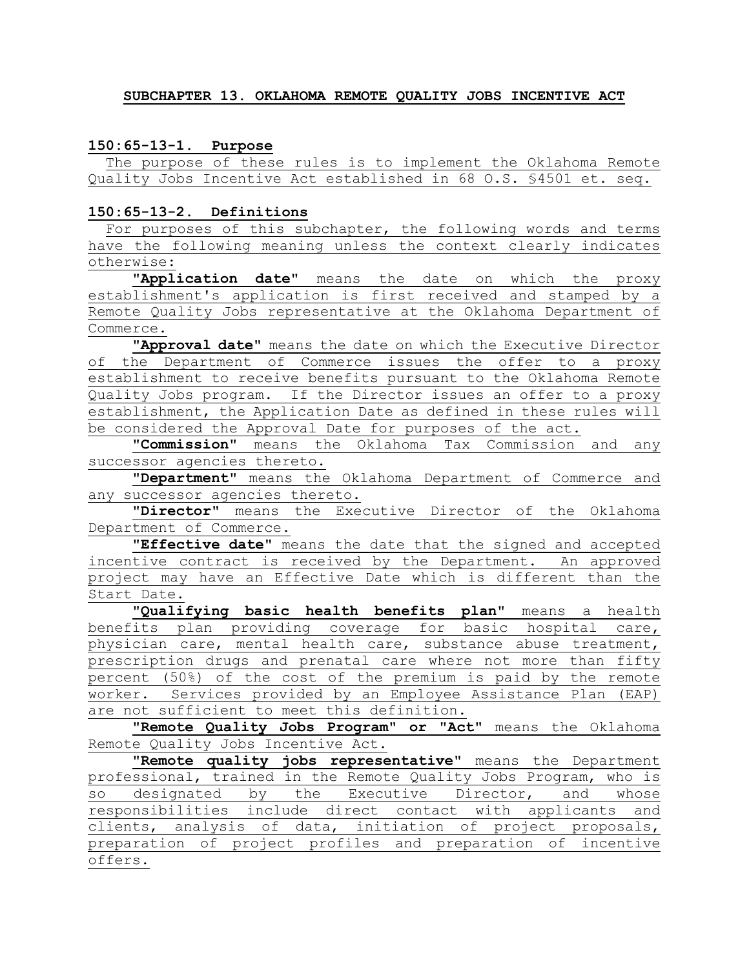#### **SUBCHAPTER 13. OKLAHOMA REMOTE QUALITY JOBS INCENTIVE ACT**

#### **150:65-13-1. Purpose**

 The purpose of these rules is to implement the Oklahoma Remote Quality Jobs Incentive Act established in 68 O.S. §4501 et. seq.

#### **150:65-13-2. Definitions**

For purposes of this subchapter, the following words and terms have the following meaning unless the context clearly indicates otherwise:

**"Application date"** means the date on which the proxy establishment's application is first received and stamped by a Remote Quality Jobs representative at the Oklahoma Department of Commerce.

**"Approval date"** means the date on which the Executive Director of the Department of Commerce issues the offer to a proxy establishment to receive benefits pursuant to the Oklahoma Remote Quality Jobs program. If the Director issues an offer to a proxy establishment, the Application Date as defined in these rules will be considered the Approval Date for purposes of the act.

**"Commission"** means the Oklahoma Tax Commission and any successor agencies thereto.

**"Department"** means the Oklahoma Department of Commerce and any successor agencies thereto.

**"Director"** means the Executive Director of the Oklahoma Department of Commerce.

**"Effective date"** means the date that the signed and accepted incentive contract is received by the Department. An approved project may have an Effective Date which is different than the Start Date.

**"Qualifying basic health benefits plan"** means a health benefits plan providing coverage for basic hospital care, physician care, mental health care, substance abuse treatment, prescription drugs and prenatal care where not more than fifty percent (50%) of the cost of the premium is paid by the remote worker. Services provided by an Employee Assistance Plan (EAP) are not sufficient to meet this definition.

**"Remote Quality Jobs Program" or "Act"** means the Oklahoma Remote Quality Jobs Incentive Act.

**"Remote quality jobs representative"** means the Department professional, trained in the Remote Quality Jobs Program, who is so designated by the Executive Director, and whose responsibilities include direct contact with applicants and clients, analysis of data, initiation of project proposals, preparation of project profiles and preparation of incentive offers.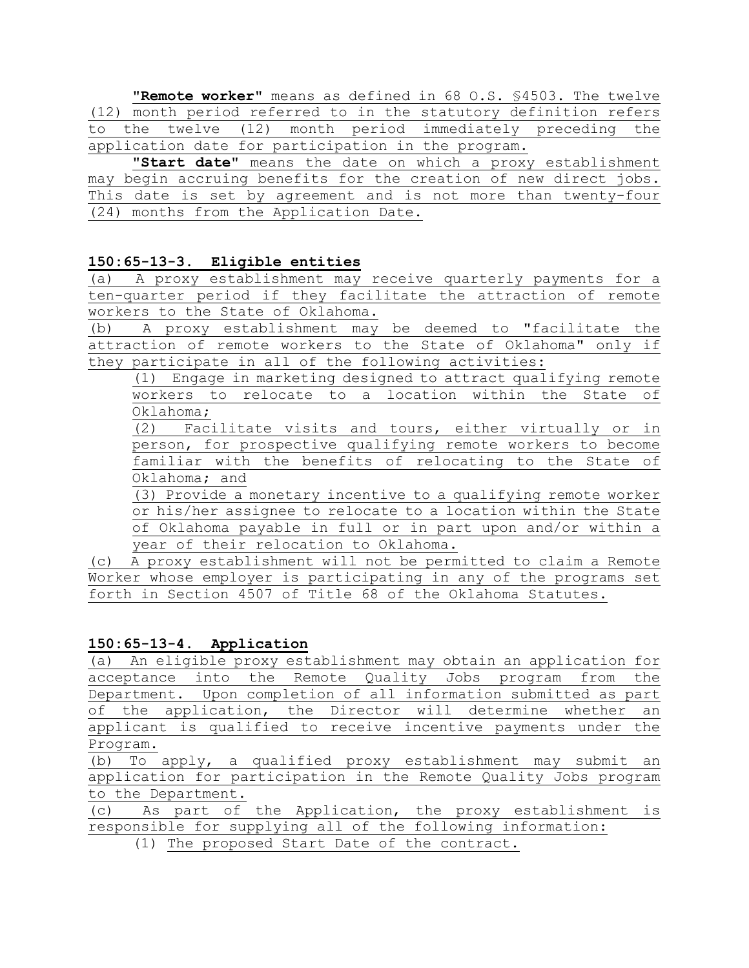**"Remote worker"** means as defined in 68 O.S. §4503. The twelve (12) month period referred to in the statutory definition refers to the twelve (12) month period immediately preceding the application date for participation in the program.

**"Start date"** means the date on which a proxy establishment may begin accruing benefits for the creation of new direct jobs. This date is set by agreement and is not more than twenty-four (24) months from the Application Date.

# **150:65-13-3. Eligible entities**

(a) A proxy establishment may receive quarterly payments for a ten-quarter period if they facilitate the attraction of remote workers to the State of Oklahoma.

(b) A proxy establishment may be deemed to "facilitate the attraction of remote workers to the State of Oklahoma" only if they participate in all of the following activities:

(1) Engage in marketing designed to attract qualifying remote workers to relocate to a location within the State of Oklahoma;

(2) Facilitate visits and tours, either virtually or in person, for prospective qualifying remote workers to become familiar with the benefits of relocating to the State of Oklahoma; and

(3) Provide a monetary incentive to a qualifying remote worker or his/her assignee to relocate to a location within the State of Oklahoma payable in full or in part upon and/or within a year of their relocation to Oklahoma.

(c) A proxy establishment will not be permitted to claim a Remote Worker whose employer is participating in any of the programs set forth in Section 4507 of Title 68 of the Oklahoma Statutes.

# **150:65-13-4. Application**

(a) An eligible proxy establishment may obtain an application for acceptance into the Remote Quality Jobs program from the Department. Upon completion of all information submitted as part of the application, the Director will determine whether an applicant is qualified to receive incentive payments under the  $\frac{\text{Program.}}{\text{(b)} \quad \text{To}}$ 

To apply, a qualified proxy establishment may submit an application for participation in the Remote Quality Jobs program to the Department.

(c) As part of the Application, the proxy establishment is responsible for supplying all of the following information:

(1) The proposed Start Date of the contract.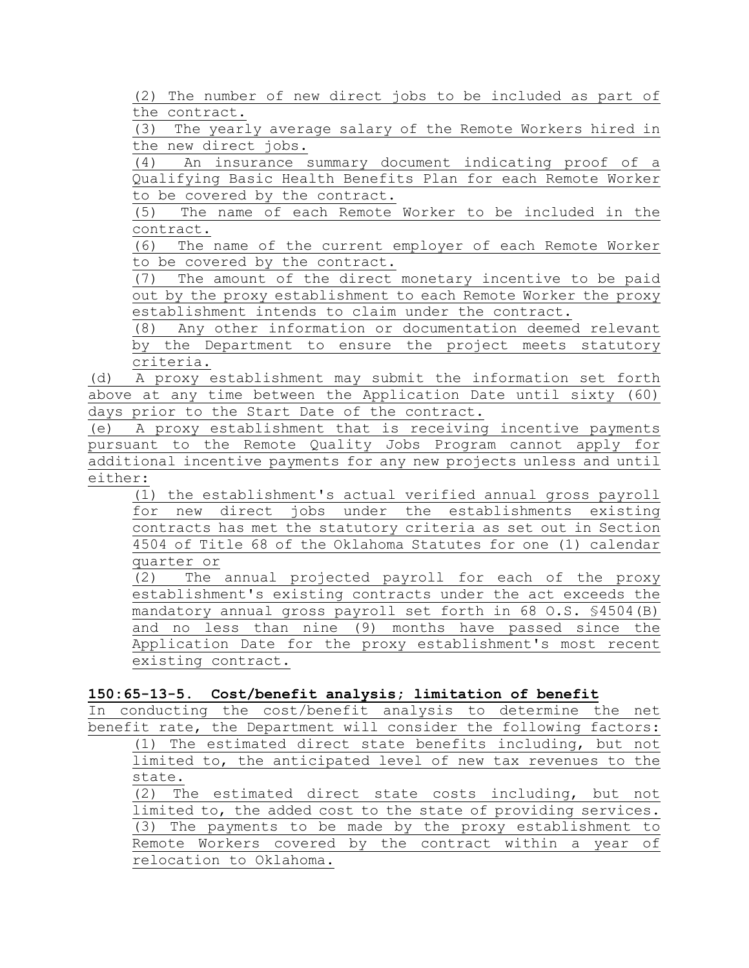(2) The number of new direct jobs to be included as part of the contract.

(3) The yearly average salary of the Remote Workers hired in the new direct jobs.

(4) An insurance summary document indicating proof of a Qualifying Basic Health Benefits Plan for each Remote Worker to be covered by the contract.

(5) The name of each Remote Worker to be included in the contract.

(6) The name of the current employer of each Remote Worker to be covered by the contract.

(7) The amount of the direct monetary incentive to be paid out by the proxy establishment to each Remote Worker the proxy establishment intends to claim under the contract.

(8) Any other information or documentation deemed relevant by the Department to ensure the project meets statutory criteria.

(d) A proxy establishment may submit the information set forth above at any time between the Application Date until sixty (60) days prior to the Start Date of the contract.

(e) A proxy establishment that is receiving incentive payments pursuant to the Remote Quality Jobs Program cannot apply for additional incentive payments for any new projects unless and until either:

(1) the establishment's actual verified annual gross payroll for new direct jobs under the establishments existing contracts has met the statutory criteria as set out in Section 4504 of Title 68 of the Oklahoma Statutes for one (1) calendar quarter or

(2) The annual projected payroll for each of the proxy establishment's existing contracts under the act exceeds the mandatory annual gross payroll set forth in 68 O.S. §4504(B) and no less than nine (9) months have passed since the Application Date for the proxy establishment's most recent existing contract.

### **150:65-13-5. Cost/benefit analysis; limitation of benefit**

In conducting the cost/benefit analysis to determine the net benefit rate, the Department will consider the following factors: (1) The estimated direct state benefits including, but not limited to, the anticipated level of new tax revenues to the state.

(2) The estimated direct state costs including, but not limited to, the added cost to the state of providing services. (3) The payments to be made by the proxy establishment to Remote Workers covered by the contract within a year of relocation to Oklahoma.